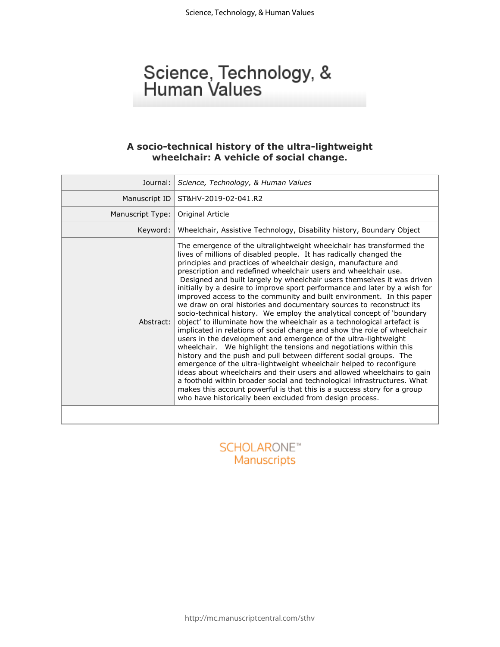# Science, Technology, &<br>Human Values

## **A socio-technical history of the ultra-lightweight wheelchair: A vehicle of social change.**

| Journal:         | Science, Technology, & Human Values                                                                                                                                                                                                                                                                                                                                                                                                                                                                                                                                                                                                                                                                                                                                                                                                                                                                                                                                                                                                                                                                                                                                                                                                                                                                                                                                                                            |
|------------------|----------------------------------------------------------------------------------------------------------------------------------------------------------------------------------------------------------------------------------------------------------------------------------------------------------------------------------------------------------------------------------------------------------------------------------------------------------------------------------------------------------------------------------------------------------------------------------------------------------------------------------------------------------------------------------------------------------------------------------------------------------------------------------------------------------------------------------------------------------------------------------------------------------------------------------------------------------------------------------------------------------------------------------------------------------------------------------------------------------------------------------------------------------------------------------------------------------------------------------------------------------------------------------------------------------------------------------------------------------------------------------------------------------------|
| Manuscript ID    | ST&HV-2019-02-041.R2                                                                                                                                                                                                                                                                                                                                                                                                                                                                                                                                                                                                                                                                                                                                                                                                                                                                                                                                                                                                                                                                                                                                                                                                                                                                                                                                                                                           |
| Manuscript Type: | Original Article                                                                                                                                                                                                                                                                                                                                                                                                                                                                                                                                                                                                                                                                                                                                                                                                                                                                                                                                                                                                                                                                                                                                                                                                                                                                                                                                                                                               |
| Keyword:         | Wheelchair, Assistive Technology, Disability history, Boundary Object                                                                                                                                                                                                                                                                                                                                                                                                                                                                                                                                                                                                                                                                                                                                                                                                                                                                                                                                                                                                                                                                                                                                                                                                                                                                                                                                          |
| Abstract:        | The emergence of the ultralightweight wheelchair has transformed the<br>lives of millions of disabled people. It has radically changed the<br>principles and practices of wheelchair design, manufacture and<br>prescription and redefined wheelchair users and wheelchair use.<br>Designed and built largely by wheelchair users themselves it was driven<br>initially by a desire to improve sport performance and later by a wish for<br>improved access to the community and built environment. In this paper<br>we draw on oral histories and documentary sources to reconstruct its<br>socio-technical history. We employ the analytical concept of 'boundary<br>object' to illuminate how the wheelchair as a technological artefact is<br>implicated in relations of social change and show the role of wheelchair<br>users in the development and emergence of the ultra-lightweight<br>wheelchair. We highlight the tensions and negotiations within this<br>history and the push and pull between different social groups. The<br>emergence of the ultra-lightweight wheelchair helped to reconfigure<br>ideas about wheelchairs and their users and allowed wheelchairs to gain<br>a foothold within broader social and technological infrastructures. What<br>makes this account powerful is that this is a success story for a group<br>who have historically been excluded from design process. |
|                  |                                                                                                                                                                                                                                                                                                                                                                                                                                                                                                                                                                                                                                                                                                                                                                                                                                                                                                                                                                                                                                                                                                                                                                                                                                                                                                                                                                                                                |

## **SCHOLARONE™** Manuscripts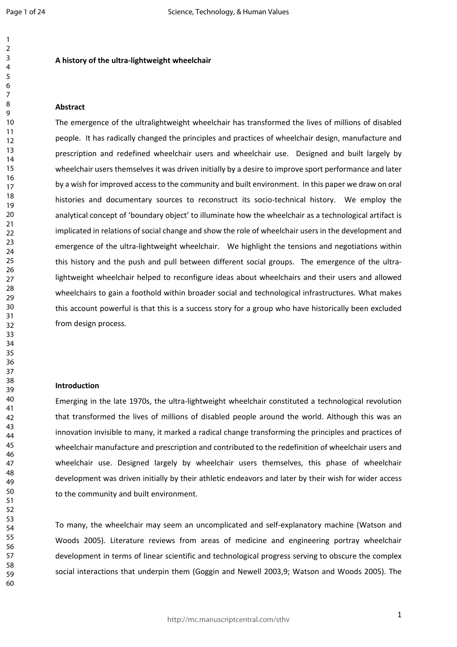$\mathbf{1}$  $\overline{2}$  $\overline{3}$  $\overline{4}$  $\overline{7}$ 

#### **A history of the ultra-lightweight wheelchair**

#### **Abstract**

dary object' to illuminate how the wheelchair<br>
ocial change and show the role of wheelchair u<br>
ntweight wheelchair. We highlight the tensi<br>
and pull between different social groups. T<br>
ped to reconfigure ideas about wheelc The emergence of the ultralightweight wheelchair has transformed the lives of millions of disabled people. It has radically changed the principles and practices of wheelchair design, manufacture and prescription and redefined wheelchair users and wheelchair use. Designed and built largely by wheelchair users themselves it was driven initially by a desire to improve sport performance and later by a wish for improved access to the community and built environment. In this paper we draw on oral histories and documentary sources to reconstruct its socio-technical history. We employ the analytical concept of 'boundary object' to illuminate how the wheelchair as a technological artifact is implicated in relations of social change and show the role of wheelchair users in the development and emergence of the ultra-lightweight wheelchair. We highlight the tensions and negotiations within this history and the push and pull between different social groups. The emergence of the ultralightweight wheelchair helped to reconfigure ideas about wheelchairs and their users and allowed wheelchairs to gain a foothold within broader social and technological infrastructures. What makes this account powerful is that this is a success story for a group who have historically been excluded from design process.

#### **Introduction**

Emerging in the late 1970s, the ultra-lightweight wheelchair constituted a technological revolution that transformed the lives of millions of disabled people around the world. Although this was an innovation invisible to many, it marked a radical change transforming the principles and practices of wheelchair manufacture and prescription and contributed to the redefinition of wheelchair users and wheelchair use. Designed largely by wheelchair users themselves, this phase of wheelchair development was driven initially by their athletic endeavors and later by their wish for wider access to the community and built environment.

To many, the wheelchair may seem an uncomplicated and self-explanatory machine (Watson and Woods 2005). Literature reviews from areas of medicine and engineering portray wheelchair development in terms of linear scientific and technological progress serving to obscure the complex social interactions that underpin them (Goggin and Newell 2003,9; Watson and Woods 2005). The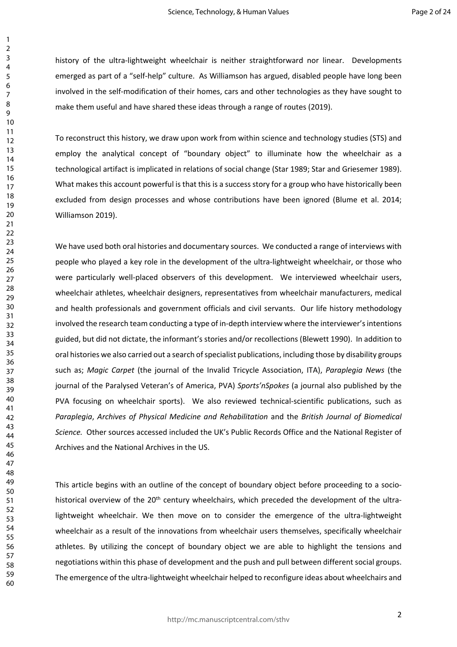history of the ultra-lightweight wheelchair is neither straightforward nor linear. Developments emerged as part of a "self-help" culture. As Williamson has argued, disabled people have long been involved in the self-modification of their homes, cars and other technologies as they have sought to make them useful and have shared these ideas through a range of routes (2019).

To reconstruct this history, we draw upon work from within science and technology studies (STS) and employ the analytical concept of "boundary object" to illuminate how the wheelchair as a technological artifact is implicated in relations of social change (Star 1989; Star and Griesemer 1989). What makes this account powerful is that this is a success story for a group who have historically been excluded from design processes and whose contributions have been ignored (Blume et al. 2014; Williamson 2019).

tories and documentary sources. We conduct<br>ole in the development of the ultra-lightweig<br>red observers of this development. We int<br>chair designers, representatives from wheelc<br>nd government officials and civil servants. C<br> We have used both oral histories and documentary sources. We conducted a range of interviews with people who played a key role in the development of the ultra-lightweight wheelchair, or those who were particularly well-placed observers of this development. We interviewed wheelchair users, wheelchair athletes, wheelchair designers, representatives from wheelchair manufacturers, medical and health professionals and government officials and civil servants. Our life history methodology involved the research team conducting a type of in-depth interview where the interviewer's intentions guided, but did not dictate, the informant's stories and/or recollections (Blewett 1990). In addition to oral histories we also carried out a search of specialist publications, including those by disability groups such as; *Magic Carpet* (the journal of the Invalid Tricycle Association, ITA), *Paraplegia News* (the journal of the Paralysed Veteran's of America, PVA) *Sports'nSpokes* (a journal also published by the PVA focusing on wheelchair sports). We also reviewed technical-scientific publications, such as *Paraplegia*, *Archives of Physical Medicine and Rehabilitation* and the *British Journal of Biomedical Science.* Other sources accessed included the UK's Public Records Office and the National Register of Archives and the National Archives in the US.

This article begins with an outline of the concept of boundary object before proceeding to a sociohistorical overview of the 20<sup>th</sup> century wheelchairs, which preceded the development of the ultralightweight wheelchair. We then move on to consider the emergence of the ultra-lightweight wheelchair as a result of the innovations from wheelchair users themselves, specifically wheelchair athletes. By utilizing the concept of boundary object we are able to highlight the tensions and negotiations within this phase of development and the push and pull between different social groups. The emergence of the ultra-lightweight wheelchair helped to reconfigure ideas about wheelchairs and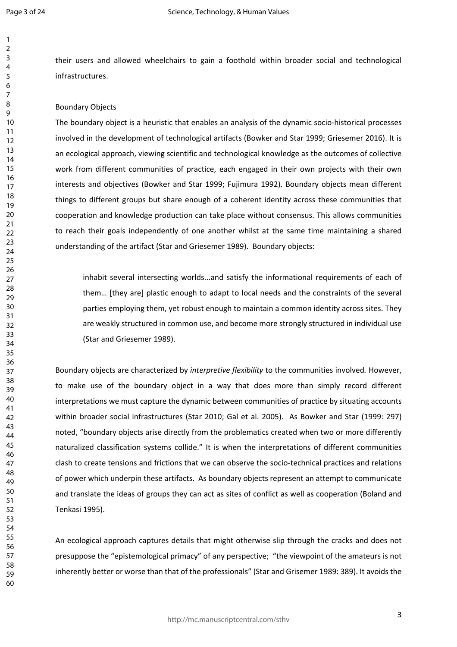$\mathbf{1}$  $\overline{2}$  $\overline{3}$  $\overline{4}$ 5 6  $\overline{7}$ 8  $\mathsf{Q}$ 

their users and allowed wheelchairs to gain a foothold within broader social and technological infrastructures.

#### Boundary Objects

The boundary object is a heuristic that enables an analysis of the dynamic socio-historical processes involved in the development of technological artifacts (Bowker and Star 1999; Griesemer 2016). It is an ecological approach, viewing scientific and technological knowledge as the outcomes of collective work from different communities of practice, each engaged in their own projects with their own interests and objectives (Bowker and Star 1999; Fujimura 1992). Boundary objects mean different things to different groups but share enough of a coherent identity across these communities that cooperation and knowledge production can take place without consensus. This allows communities to reach their goals independently of one another whilst at the same time maintaining a shared understanding of the artifact (Star and Griesemer 1989). Boundary objects:

e production can take place without consens<br>endently of one another whilst at the same<br>ct (Star and Griesemer 1989). Boundary objec<br>ersecting worlds...and satisfy the informatior<br>plastic enough to adapt to local needs and inhabit several intersecting worlds...and satisfy the informational requirements of each of them… [they are] plastic enough to adapt to local needs and the constraints of the several parties employing them, yet robust enough to maintain a common identity across sites. They are weakly structured in common use, and become more strongly structured in individual use (Star and Griesemer 1989).

Boundary objects are characterized by *interpretive flexibility* to the communities involved *.* However, to make use of the boundary object in a way that does more than simply record different interpretations we must capture the dynamic between communities of practice by situating accounts within broader social infrastructures (Star 2010; Gal et al. 2005). As Bowker and Star (1999: 297) noted, "boundary objects arise directly from the problematics created when two or more differently naturalized classification systems collide." It is when the interpretations of different communities clash to create tensions and frictions that we can observe the socio-technical practices and relations of power which underpin these artifacts. As boundary objects represent an attempt to communicate and translate the ideas of groups they can act as sites of conflict as well as cooperation (Boland and Tenkasi 1995).

An ecological approach captures details that might otherwise slip through the cracks and does not presuppose the "epistemological primacy" of any perspective; "the viewpoint of the amateurs is not inherently better or worse than that of the professionals" (Star and Grisemer 1989: 389). It avoids the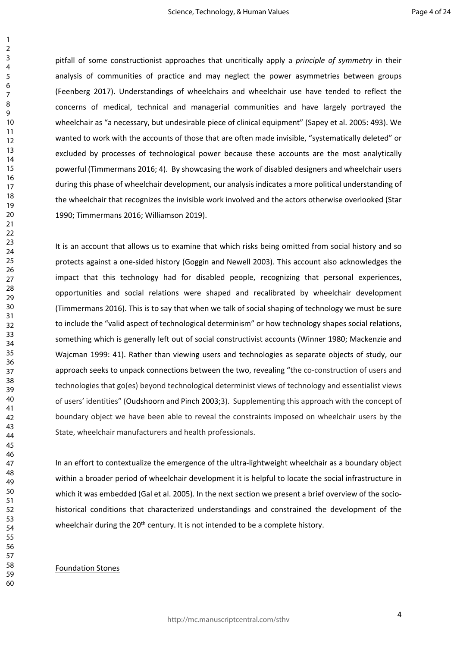pitfall of some constructionist approaches that uncritically apply a *principle of symmetry* in their analysis of communities of practice and may neglect the power asymmetries between groups (Feenberg 2017). Understandings of wheelchairs and wheelchair use have tended to reflect the concerns of medical, technical and managerial communities and have largely portrayed the wheelchair as "a necessary, but undesirable piece of clinical equipment" (Sapey et al. 2005: 493). We wanted to work with the accounts of those that are often made invisible, "systematically deleted" or excluded by processes of technological power because these accounts are the most analytically powerful (Timmermans 2016; 4). By showcasing the work of disabled designers and wheelchair users during this phase of wheelchair development, our analysis indicates a more political understanding of the wheelchair that recognizes the invisible work involved and the actors otherwise overlooked (Star 1990; Timmermans 2016; Williamson 2019).

Williamson 2019).<br>
Solutions is us to examine that which risks being omitted<br>
d history (Goggin and Newell 2003). This acc<br>
pay had for disabled people, recognizing<br>
relations were shaped and recalibrated b<br>
solutions were It is an account that allows us to examine that which risks being omitted from social history and so protects against a one-sided history (Goggin and Newell 2003). This account also acknowledges the impact that this technology had for disabled people, recognizing that personal experiences, opportunities and social relations were shaped and recalibrated by wheelchair development (Timmermans 2016). This is to say that when we talk of social shaping of technology we must be sure to include the "valid aspect of technological determinism" or how technology shapes social relations, something which is generally left out of social constructivist accounts (Winner 1980; Mackenzie and Wajcman 1999: 41). Rather than viewing users and technologies as separate objects of study, our approach seeks to unpack connections between the two, revealing "the co-construction of users and technologies that go(es) beyond technological determinist views of technology and essentialist views of users' identities" (Oudshoorn and Pinch 2003;3). Supplementing this approach with the concept of boundary object we have been able to reveal the constraints imposed on wheelchair users by the State, wheelchair manufacturers and health professionals.

In an effort to contextualize the emergence of the ultra-lightweight wheelchair as a boundary object within a broader period of wheelchair development it is helpful to locate the social infrastructure in which it was embedded (Gal et al. 2005). In the next section we present a brief overview of the sociohistorical conditions that characterized understandings and constrained the development of the wheelchair during the 20<sup>th</sup> century. It is not intended to be a complete history.

### Foundation Stones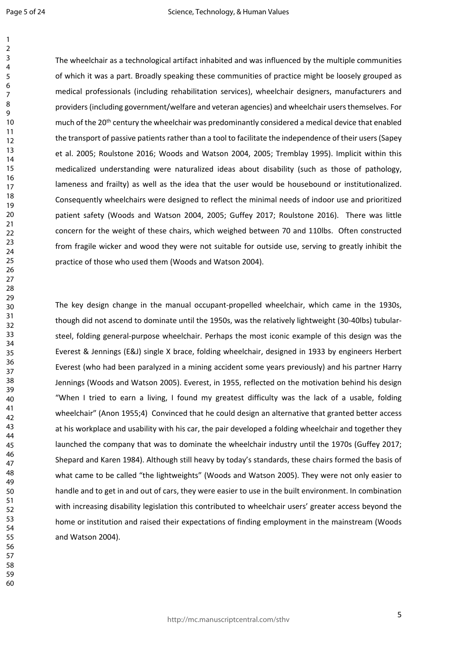$\mathbf{1}$ 

60

The wheelchair as a technological artifact inhabited and was influenced by the multiple communities of which it was a part. Broadly speaking these communities of practice might be loosely grouped as medical professionals (including rehabilitation services), wheelchair designers, manufacturers and providers (including government/welfare and veteran agencies) and wheelchair users themselves. For much of the 20<sup>th</sup> century the wheelchair was predominantly considered a medical device that enabled the transport of passive patients rather than a tool to facilitate the independence of their users (Sapey et al. 2005; Roulstone 2016; Woods and Watson 2004, 2005; Tremblay 1995). Implicit within this medicalized understanding were naturalized ideas about disability (such as those of pathology, lameness and frailty) as well as the idea that the user would be housebound or institutionalized. Consequently wheelchairs were designed to reflect the minimal needs of indoor use and prioritized patient safety (Woods and Watson 2004, 2005; Guffey 2017; Roulstone 2016). There was little concern for the weight of these chairs, which weighed between 70 and 110lbs. Often constructed from fragile wicker and wood they were not suitable for outside use, serving to greatly inhibit the practice of those who used them (Woods and Watson 2004).

d Watson 2004, 2005; Guffey 2017; Roulsto<br>these chairs, which weighed between 70 and<br>ood they were not suitable for outside use, s<br>them (Woods and Watson 2004).<br>the manual occupant-propelled wheelchair,<br>ominate until the 1 The key design change in the manual occupant-propelled wheelchair, which came in the 1930s, though did not ascend to dominate until the 1950s, was the relatively lightweight (30-40lbs) tubularsteel, folding general-purpose wheelchair. Perhaps the most iconic example of this design was the Everest & Jennings (E&J) single X brace, folding wheelchair, designed in 1933 by engineers Herbert Everest (who had been paralyzed in a mining accident some years previously) and his partner Harry Jennings (Woods and Watson 2005). Everest, in 1955, reflected on the motivation behind his design "When I tried to earn a living, I found my greatest difficulty was the lack of a usable, folding wheelchair" (Anon 1955;4) Convinced that he could design an alternative that granted better access at his workplace and usability with his car, the pair developed a folding wheelchair and together they launched the company that was to dominate the wheelchair industry until the 1970s (Guffey 2017; Shepard and Karen 1984). Although still heavy by today's standards, these chairs formed the basis of what came to be called "the lightweights" (Woods and Watson 2005). They were not only easier to handle and to get in and out of cars, they were easier to use in the built environment. In combination with increasing disability legislation this contributed to wheelchair users' greater access beyond the home or institution and raised their expectations of finding employment in the mainstream (Woods and Watson 2004).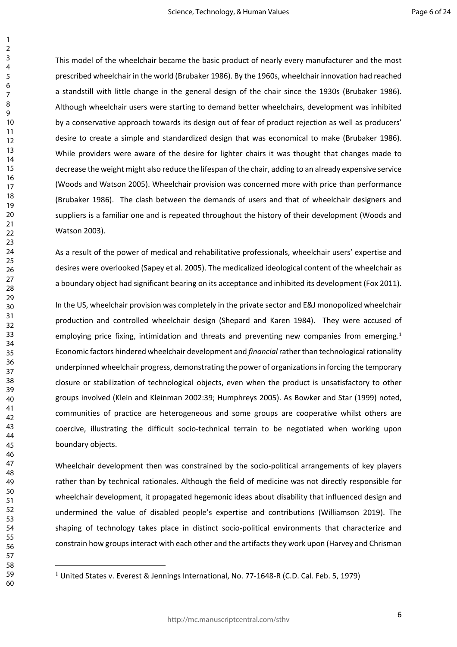This model of the wheelchair became the basic product of nearly every manufacturer and the most prescribed wheelchair in the world (Brubaker 1986). By the 1960s, wheelchair innovation had reached a standstill with little change in the general design of the chair since the 1930s (Brubaker 1986). Although wheelchair users were starting to demand better wheelchairs, development was inhibited by a conservative approach towards its design out of fear of product rejection as well as producers' desire to create a simple and standardized design that was economical to make (Brubaker 1986). While providers were aware of the desire for lighter chairs it was thought that changes made to decrease the weight might also reduce the lifespan of the chair, adding to an already expensive service (Woods and Watson 2005). Wheelchair provision was concerned more with price than performance (Brubaker 1986). The clash between the demands of users and that of wheelchair designers and suppliers is a familiar one and is repeated throughout the history of their development (Woods and Watson 2003).

As a result of the power of medical and rehabilitative professionals, wheelchair users' expertise and desires were overlooked (Sapey et al. 2005). The medicalized ideological content of the wheelchair as a boundary object had significant bearing on its acceptance and inhibited its development (Fox 2011).

and is repeated throughout the history of the<br>
imedical and rehabilitative professionals, whe<br>
apey et al. 2005). The medicalized ideological<br>
ificant bearing on its acceptance and inhibited<br>
sion was completely in the pri In the US, wheelchair provision was completely in the private sector and E&J monopolized wheelchair production and controlled wheelchair design (Shepard and Karen 1984). They were accused of employing price fixing, intimidation and threats and preventing new companies from emerging.<sup>1</sup> Economic factors hindered wheelchair development and *financial* rather than technological rationality underpinned wheelchair progress, demonstrating the power of organizations in forcing the temporary closure or stabilization of technological objects, even when the product is unsatisfactory to other groups involved (Klein and Kleinman 2002:39; Humphreys 2005). As Bowker and Star (1999) noted, communities of practice are heterogeneous and some groups are cooperative whilst others are coercive, illustrating the difficult socio-technical terrain to be negotiated when working upon boundary objects.

Wheelchair development then was constrained by the socio-political arrangements of key players rather than by technical rationales. Although the field of medicine was not directly responsible for wheelchair development, it propagated hegemonic ideas about disability that influenced design and undermined the value of disabled people's expertise and contributions (Williamson 2019). The shaping of technology takes place in distinct socio-political environments that characterize and constrain how groups interact with each other and the artifacts they work upon (Harvey and Chrisman

<sup>&</sup>lt;sup>1</sup> United States v. Everest & Jennings International, No. 77-1648-R (C.D. Cal. Feb. 5, 1979)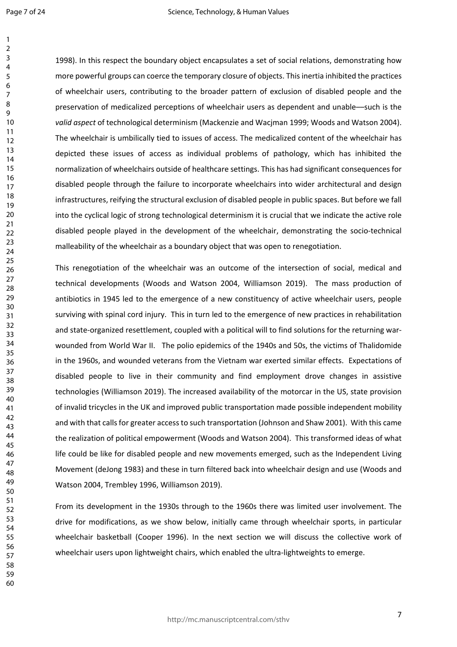$\mathbf{1}$ 

60

1998). In this respect the boundary object encapsulates a set of social relations, demonstrating how more powerful groups can coerce the temporary closure of objects. This inertia inhibited the practices of wheelchair users, contributing to the broader pattern of exclusion of disabled people and the preservation of medicalized perceptions of wheelchair users as dependent and unable––such is the *valid aspect* of technological determinism (Mackenzie and Wacjman 1999; Woods and Watson 2004). The wheelchair is umbilically tied to issues of access. The medicalized content of the wheelchair has depicted these issues of access as individual problems of pathology, which has inhibited the normalization of wheelchairs outside of healthcare settings. This has had significant consequences for disabled people through the failure to incorporate wheelchairs into wider architectural and design infrastructures, reifying the structural exclusion of disabled people in public spaces. But before we fall into the cyclical logic of strong technological determinism it is crucial that we indicate the active role disabled people played in the development of the wheelchair, demonstrating the socio-technical malleability of the wheelchair as a boundary object that was open to renegotiation.

ong technological determinism it is crucial that<br>the development of the wheelchair, demor<br>air as a boundary object that was open to ren<br>wheelchair was an outcome of the intersec<br>Woods and Watson 2004, Williamson 2019)<br>the This renegotiation of the wheelchair was an outcome of the intersection of social, medical and technical developments (Woods and Watson 2004, Williamson 2019). The mass production of antibiotics in 1945 led to the emergence of a new constituency of active wheelchair users, people surviving with spinal cord injury. This in turn led to the emergence of new practices in rehabilitation and state-organized resettlement, coupled with a political will to find solutions for the returning warwounded from World War II. The polio epidemics of the 1940s and 50s, the victims of Thalidomide in the 1960s, and wounded veterans from the Vietnam war exerted similar effects. Expectations of disabled people to live in their community and find employment drove changes in assistive technologies (Williamson 2019). The increased availability of the motorcar in the US, state provision of invalid tricycles in the UK and improved public transportation made possible independent mobility and with that calls for greater access to such transportation (Johnson and Shaw 2001). With this came the realization of political empowerment (Woods and Watson 2004). This transformed ideas of what life could be like for disabled people and new movements emerged, such as the Independent Living Movement (deJong 1983) and these in turn filtered back into wheelchair design and use (Woods and Watson 2004, Trembley 1996, Williamson 2019).

From its development in the 1930s through to the 1960s there was limited user involvement. The drive for modifications, as we show below, initially came through wheelchair sports, in particular wheelchair basketball (Cooper 1996). In the next section we will discuss the collective work of wheelchair users upon lightweight chairs, which enabled the ultra-lightweights to emerge.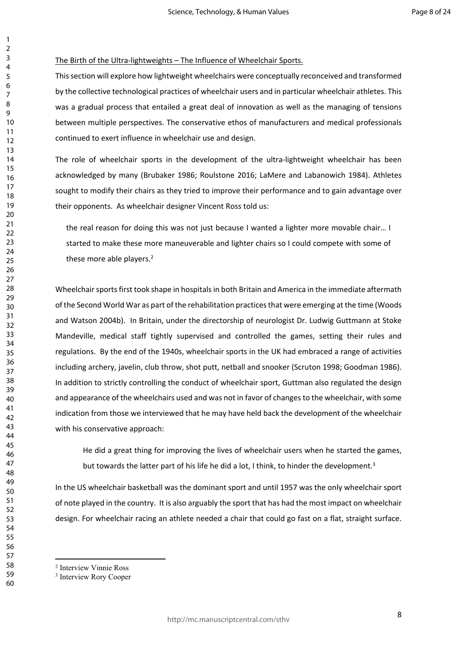#### The Birth of the Ultra-lightweights – The Influence of Wheelchair Sports.

This section will explore how lightweight wheelchairs were conceptually reconceived and transformed by the collective technological practices of wheelchair users and in particular wheelchair athletes. This was a gradual process that entailed a great deal of innovation as well as the managing of tensions between multiple perspectives. The conservative ethos of manufacturers and medical professionals continued to exert influence in wheelchair use and design.

The role of wheelchair sports in the development of the ultra-lightweight wheelchair has been acknowledged by many (Brubaker 1986; Roulstone 2016; LaMere and Labanowich 1984). Athletes sought to modify their chairs as they tried to improve their performance and to gain advantage over their opponents. As wheelchair designer Vincent Ross told us:

the real reason for doing this was not just because I wanted a lighter more movable chair... I started to make these more maneuverable and lighter chairs so I could compete with some of these more able players.<sup>2</sup>

is this was not just because I wanted a lighte<br>nore maneuverable and lighter chairs so I cou<br>..<sup>2</sup><br>shape in hospitals in both Britain and America<br>in part of the rehabilitation practices that were e<br>tain, under the director Wheelchair sports first took shape in hospitals in both Britain and America in the immediate aftermath of the Second World War as part of the rehabilitation practices that were emerging at the time (Woods and Watson 2004b). In Britain, under the directorship of neurologist Dr. Ludwig Guttmann at Stoke Mandeville, medical staff tightly supervised and controlled the games, setting their rules and regulations. By the end of the 1940s, wheelchair sports in the UK had embraced a range of activities including archery, javelin, club throw, shot putt, netball and snooker (Scruton 1998; Goodman 1986). In addition to strictly controlling the conduct of wheelchair sport, Guttman also regulated the design and appearance of the wheelchairs used and was not in favor of changes to the wheelchair, with some indication from those we interviewed that he may have held back the development of the wheelchair with his conservative approach:

He did a great thing for improving the lives of wheelchair users when he started the games, but towards the latter part of his life he did a lot, I think, to hinder the development.<sup>3</sup>

In the US wheelchair basketball was the dominant sport and until 1957 was the only wheelchair sport of note played in the country. It is also arguably the sport that has had the most impact on wheelchair design. For wheelchair racing an athlete needed a chair that could go fast on a flat, straight surface.

Interview Vinnie Ross

Interview Rory Cooper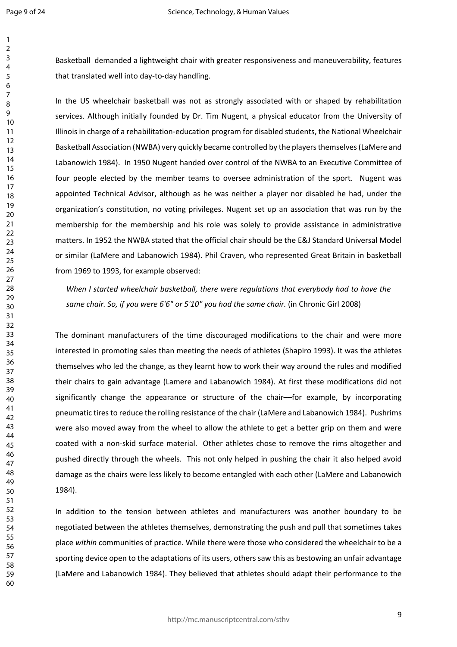$\mathbf{1}$  $\overline{2}$  $\overline{3}$  $\overline{4}$ 5 6  $\overline{7}$ 8 9

Basketball demanded a lightweight chair with greater responsiveness and maneuverability, features that translated well into day-to-day handling.

In the US wheelchair basketball was not as strongly associated with or shaped by rehabilitation services. Although initially founded by Dr. Tim Nugent, a physical educator from the University of Illinois in charge of a rehabilitation-education program for disabled students, the National Wheelchair Basketball Association (NWBA) very quickly became controlled by the players themselves (LaMere and Labanowich 1984). In 1950 Nugent handed over control of the NWBA to an Executive Committee of four people elected by the member teams to oversee administration of the sport. Nugent was appointed Technical Advisor, although as he was neither a player nor disabled he had, under the organization's constitution, no voting privileges. Nugent set up an association that was run by the membership for the membership and his role was solely to provide assistance in administrative matters. In 1952 the NWBA stated that the official chair should be the E&J Standard Universal Model or similar (LaMere and Labanowich 1984). Phil Craven, who represented Great Britain in basketball from 1969 to 1993, for example observed:

*When I started wheelchair basketball, there were regulations that everybody had to have the same chair. So, if you were 6'6" or 5'10" you had the same chair.* (in Chronic Girl 2008)

bership and his role was solely to provide<br>bership and his role was solely to provide<br>anowich 1984). Phil Craven, who represente<br>mple observed:<br>air basketball, there were regulations that evere 6'6" or 5'10" you had the sa The dominant manufacturers of the time discouraged modifications to the chair and were more interested in promoting sales than meeting the needs of athletes (Shapiro 1993). It was the athletes themselves who led the change, as they learnt how to work their way around the rules and modified their chairs to gain advantage (Lamere and Labanowich 1984). At first these modifications did not significantly change the appearance or structure of the chair––for example, by incorporating pneumatic tires to reduce the rolling resistance of the chair (LaMere and Labanowich 1984). Pushrims were also moved away from the wheel to allow the athlete to get a better grip on them and were coated with a non-skid surface material. Other athletes chose to remove the rims altogether and pushed directly through the wheels. This not only helped in pushing the chair it also helped avoid damage as the chairs were less likely to become entangled with each other (LaMere and Labanowich 1984).

In addition to the tension between athletes and manufacturers was another boundary to be negotiated between the athletes themselves, demonstrating the push and pull that sometimes takes place *within* communities of practice. While there were those who considered the wheelchair to be a sporting device open to the adaptations of its users, others saw this as bestowing an unfair advantage (LaMere and Labanowich 1984). They believed that athletes should adapt their performance to the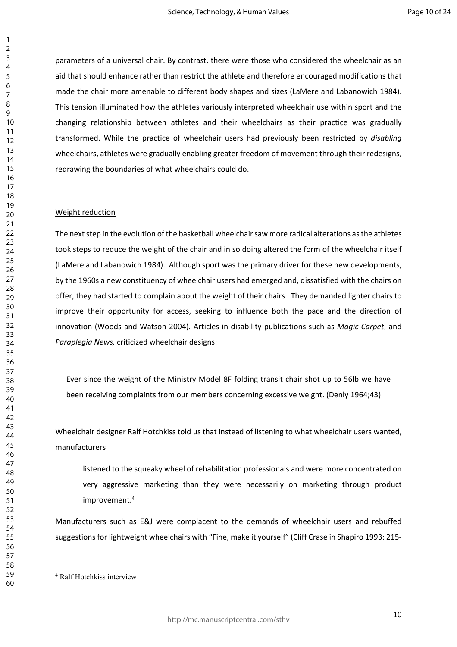parameters of a universal chair. By contrast, there were those who considered the wheelchair as an aid that should enhance rather than restrict the athlete and therefore encouraged modifications that made the chair more amenable to different body shapes and sizes (LaMere and Labanowich 1984). This tension illuminated how the athletes variously interpreted wheelchair use within sport and the changing relationship between athletes and their wheelchairs as their practice was gradually transformed. While the practice of wheelchair users had previously been restricted by *disabling*  wheelchairs, athletes were gradually enabling greater freedom of movement through their redesigns, redrawing the boundaries of what wheelchairs could do.

#### Weight reduction

on of the basketball wheelchair saw more radic<br>eight of the chair and in so doing altered the<br>984). Although sport was the primary driver f<br>uency of wheelchair users had emerged and, d<br>omplain about the weight of their cha The next step in the evolution of the basketball wheelchair saw more radical alterations as the athletes took steps to reduce the weight of the chair and in so doing altered the form of the wheelchair itself (LaMere and Labanowich 1984). Although sport was the primary driver for these new developments, by the 1960s a new constituency of wheelchair users had emerged and, dissatisfied with the chairs on offer, they had started to complain about the weight of their chairs. They demanded lighter chairs to improve their opportunity for access, seeking to influence both the pace and the direction of innovation (Woods and Watson 2004). Articles in disability publications such as *Magic Carpet*, and *Paraplegia News,* criticized wheelchair designs:

Ever since the weight of the Ministry Model 8F folding transit chair shot up to 56lb we have been receiving complaints from our members concerning excessive weight. (Denly 1964;43)

Wheelchair designer Ralf Hotchkiss told us that instead of listening to what wheelchair users wanted, manufacturers

listened to the squeaky wheel of rehabilitation professionals and were more concentrated on very aggressive marketing than they were necessarily on marketing through product improvement.<sup>4</sup>

Manufacturers such as E&J were complacent to the demands of wheelchair users and rebuffed suggestions for lightweight wheelchairs with "Fine, make it yourself" (Cliff Crase in Shapiro 1993: 215-

Ralf Hotchkiss interview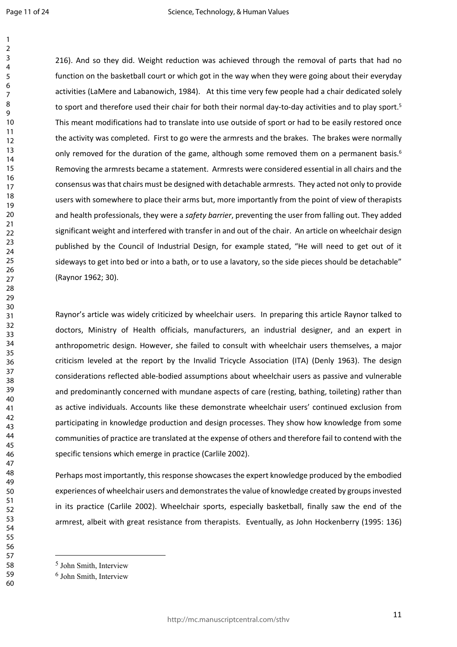216). And so they did. Weight reduction was achieved through the removal of parts that had no function on the basketball court or which got in the way when they were going about their everyday activities (LaMere and Labanowich, 1984). At this time very few people had a chair dedicated solely to sport and therefore used their chair for both their normal day-to-day activities and to play sport.<sup>5</sup> This meant modifications had to translate into use outside of sport or had to be easily restored once the activity was completed. First to go were the armrests and the brakes. The brakes were normally only removed for the duration of the game, although some removed them on a permanent basis.<sup>6</sup> Removing the armrests became a statement. Armrests were considered essential in all chairs and the consensus was that chairs must be designed with detachable armrests. They acted not only to provide users with somewhere to place their arms but, more importantly from the point of view of therapists and health professionals, they were a *safety barrier*, preventing the user from falling out. They added significant weight and interfered with transfer in and out of the chair. An article on wheelchair design published by the Council of Industrial Design, for example stated, "He will need to get out of it sideways to get into bed or into a bath, or to use a lavatory, so the side pieces should be detachable" (Raynor 1962; 30).

ney were a *safety barrier*, preventing the user<br>fered with transfer in and out of the chair. An<br>of Industrial Design, for example stated, "He<br>into a bath, or to use a lavatory, so the side p<br>or criticized by wheelchair us Raynor's article was widely criticized by wheelchair users. In preparing this article Raynor talked to doctors, Ministry of Health officials, manufacturers, an industrial designer, and an expert in anthropometric design. However, she failed to consult with wheelchair users themselves, a major criticism leveled at the report by the Invalid Tricycle Association (ITA) (Denly 1963). The design considerations reflected able-bodied assumptions about wheelchair users as passive and vulnerable and predominantly concerned with mundane aspects of care (resting, bathing, toileting) rather than as active individuals. Accounts like these demonstrate wheelchair users' continued exclusion from participating in knowledge production and design processes. They show how knowledge from some communities of practice are translated at the expense of others and therefore fail to contend with the specific tensions which emerge in practice (Carlile 2002).

Perhaps most importantly, this response showcases the expert knowledge produced by the embodied experiences of wheelchair users and demonstrates the value of knowledge created by groups invested in its practice (Carlile 2002). Wheelchair sports, especially basketball, finally saw the end of the armrest, albeit with great resistance from therapists. Eventually, as John Hockenberry (1995: 136)

5 John Smith, Interview

<sup>6</sup> John Smith, Interview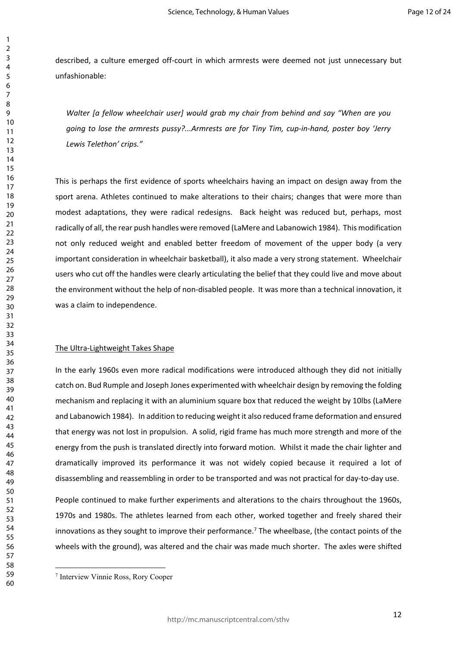described, a culture emerged off-court in which armrests were deemed not just unnecessary but unfashionable:

*Walter [a fellow wheelchair user] would grab my chair from behind and say "When are you going to lose the armrests pussy?...Armrests are for Tiny Tim, cup-in-hand, poster boy 'Jerry Lewis Telethon' crips."* 

Were radical redesigns. Back neight was r<br>
I handles were removed (LaMere and Labanov<br>
and enabled better freedom of movement<br>
wheelchair basketball), it also made a very sti<br>
les were clearly articulating the belief that This is perhaps the first evidence of sports wheelchairs having an impact on design away from the sport arena. Athletes continued to make alterations to their chairs; changes that were more than modest adaptations, they were radical redesigns. Back height was reduced but, perhaps, most radically of all, the rear push handles were removed (LaMere and Labanowich 1984). This modification not only reduced weight and enabled better freedom of movement of the upper body (a very important consideration in wheelchair basketball), it also made a very strong statement. Wheelchair users who cut off the handles were clearly articulating the belief that they could live and move about the environment without the help of non-disabled people. It was more than a technical innovation, it was a claim to independence.

#### The Ultra-Lightweight Takes Shape

In the early 1960s even more radical modifications were introduced although they did not initially catch on. Bud Rumple and Joseph Jones experimented with wheelchair design by removing the folding mechanism and replacing it with an aluminium square box that reduced the weight by 10lbs (LaMere and Labanowich 1984). In addition to reducing weight it also reduced frame deformation and ensured that energy was not lost in propulsion. A solid, rigid frame has much more strength and more of the energy from the push is translated directly into forward motion. Whilst it made the chair lighter and dramatically improved its performance it was not widely copied because it required a lot of disassembling and reassembling in order to be transported and was not practical for day-to-day use.

People continued to make further experiments and alterations to the chairs throughout the 1960s, 1970s and 1980s. The athletes learned from each other, worked together and freely shared their innovations as they sought to improve their performance.<sup>7</sup> The wheelbase, (the contact points of the wheels with the ground), was altered and the chair was made much shorter. The axles were shifted

Interview Vinnie Ross, Rory Cooper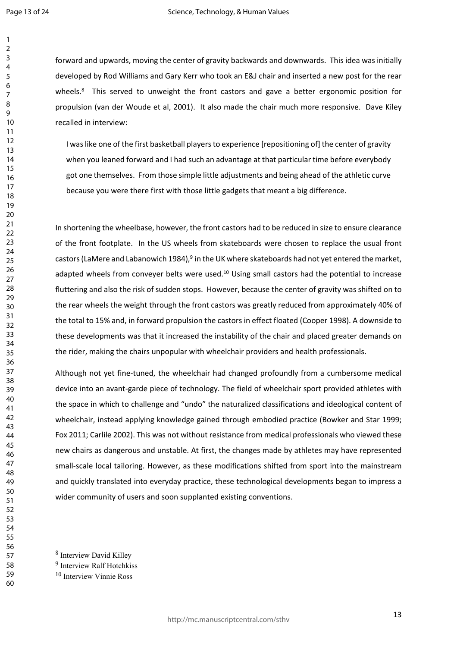$\mathbf{1}$  $\overline{2}$  $\overline{3}$  $\overline{4}$  $\overline{7}$  $\mathsf{Q}$ 

forward and upwards, moving the center of gravity backwards and downwards. This idea was initially developed by Rod Williams and Gary Kerr who took an E&J chair and inserted a new post for the rear wheels.<sup>8</sup> This served to unweight the front castors and gave a better ergonomic position for propulsion (van der Woude et al, 2001). It also made the chair much more responsive. Dave Kiley recalled in interview:

I was like one of the first basketball players to experience [repositioning of] the center of gravity when you leaned forward and I had such an advantage at that particular time before everybody got one themselves. From those simple little adjustments and being ahead of the athletic curve because you were there first with those little gadgets that meant a big difference.

e, however, the front castors had to be reduce<br>the US wheels from skateboards were chose<br>owich 1984),<sup>9</sup> in the UK where skateboards had<br>eyer belts were used.<sup>10</sup> Using small castors h<br>of sudden stops. However, because the In shortening the wheelbase, however, the front castors had to be reduced in size to ensure clearance of the front footplate. In the US wheels from skateboards were chosen to replace the usual front castors (LaMere and Labanowich 1984),<sup>9</sup> in the UK where skateboards had not yet entered the market, adapted wheels from conveyer belts were used.<sup>10</sup> Using small castors had the potential to increase fluttering and also the risk of sudden stops. However, because the center of gravity was shifted on to the rear wheels the weight through the front castors was greatly reduced from approximately 40% of the total to 15% and, in forward propulsion the castors in effect floated (Cooper 1998). A downside to these developments was that it increased the instability of the chair and placed greater demands on the rider, making the chairs unpopular with wheelchair providers and health professionals.

Although not yet fine-tuned, the wheelchair had changed profoundly from a cumbersome medical device into an avant-garde piece of technology. The field of wheelchair sport provided athletes with the space in which to challenge and "undo" the naturalized classifications and ideological content of wheelchair, instead applying knowledge gained through embodied practice (Bowker and Star 1999; Fox 2011; Carlile 2002). This was not without resistance from medical professionals who viewed these new chairs as dangerous and unstable. At first, the changes made by athletes may have represented small-scale local tailoring. However, as these modifications shifted from sport into the mainstream and quickly translated into everyday practice, these technological developments began to impress a wider community of users and soon supplanted existing conventions.

Interview David Killey

Interview Ralf Hotchkiss

Interview Vinnie Ross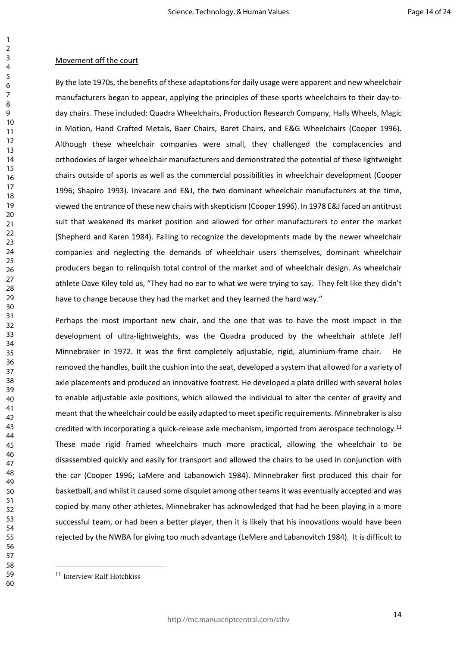#### Movement off the court

By the late 1970s, the benefits of these adaptations for daily usage were apparent and new wheelchair manufacturers began to appear, applying the principles of these sports wheelchairs to their day-today chairs. These included: Quadra Wheelchairs, Production Research Company, Halls Wheels, Magic in Motion, Hand Crafted Metals, Baer Chairs, Baret Chairs, and E&G Wheelchairs (Cooper 1996). Although these wheelchair companies were small, they challenged the complacencies and orthodoxies of larger wheelchair manufacturers and demonstrated the potential of these lightweight chairs outside of sports as well as the commercial possibilities in wheelchair development (Cooper 1996; Shapiro 1993). Invacare and E&J, the two dominant wheelchair manufacturers at the time, viewed the entrance of these new chairs with skepticism (Cooper 1996). In 1978 E&J faced an antitrust suit that weakened its market position and allowed for other manufacturers to enter the market (Shepherd and Karen 1984). Failing to recognize the developments made by the newer wheelchair companies and neglecting the demands of wheelchair users themselves, dominant wheelchair producers began to relinquish total control of the market and of wheelchair design. As wheelchair athlete Dave Kiley told us, "They had no ear to what we were trying to say. They felt like they didn't have to change because they had the market and they learned the hard way."

rket position and allowed for other manufactory.<br>
The demands of wheelchair users themse<br>
rish total control of the market and of whee<br>
"They had no ear to what we were trying to severt the market and they learned the hard Perhaps the most important new chair, and the one that was to have the most impact in the development of ultra-lightweights, was the Quadra produced by the wheelchair athlete Jeff Minnebraker in 1972. It was the first completely adjustable, rigid, aluminium-frame chair. He removed the handles, built the cushion into the seat, developed a system that allowed for a variety of axle placements and produced an innovative footrest. He developed a plate drilled with several holes to enable adjustable axle positions, which allowed the individual to alter the center of gravity and meant that the wheelchair could be easily adapted to meet specific requirements. Minnebraker is also credited with incorporating a quick-release axle mechanism, imported from aerospace technology.<sup>11</sup> These made rigid framed wheelchairs much more practical, allowing the wheelchair to be disassembled quickly and easily for transport and allowed the chairs to be used in conjunction with the car (Cooper 1996; LaMere and Labanowich 1984). Minnebraker first produced this chair for basketball, and whilst it caused some disquiet among other teams it was eventually accepted and was copied by many other athletes. Minnebraker has acknowledged that had he been playing in a more successful team, or had been a better player, then it is likely that his innovations would have been rejected by the NWBA for giving too much advantage (LeMere and Labanovitch 1984). It is difficult to

Interview Ralf Hotchkiss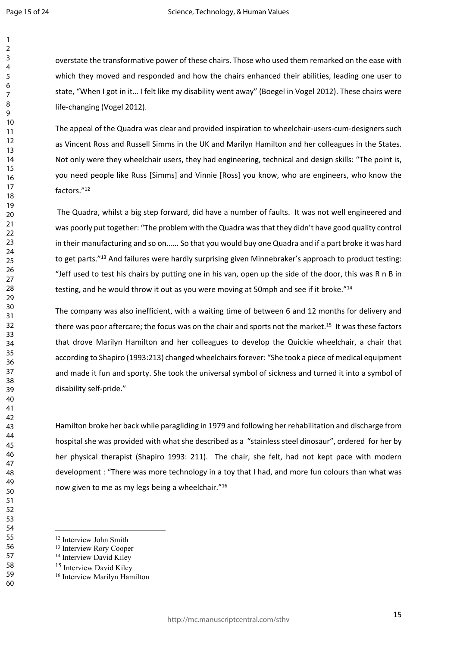$\mathbf{1}$ 

> 58 59 60

overstate the transformative power of these chairs. Those who used them remarked on the ease with which they moved and responded and how the chairs enhanced their abilities, leading one user to state, "When I got in it… I felt like my disability went away" (Boegel in Vogel 2012). These chairs were life-changing (Vogel 2012).

The appeal of the Quadra was clear and provided inspiration to wheelchair-users-cum-designers such as Vincent Ross and Russell Simms in the UK and Marilyn Hamilton and her colleagues in the States. Not only were they wheelchair users, they had engineering, technical and design skills: "The point is, you need people like Russ [Simms] and Vinnie [Ross] you know, who are engineers, who know the factors."<sup>12</sup>

 The Quadra, whilst a big step forward, did have a number of faults. It was not well engineered and was poorly put together: "The problem with the Quadra was that they didn't have good quality control in their manufacturing and so on…... So that you would buy one Quadra and if a part broke it was hard to get parts."<sup>13</sup> And failures were hardly surprising given Minnebraker's approach to product testing: "Jeff used to test his chairs by putting one in his van, open up the side of the door, this was R n B in testing, and he would throw it out as you were moving at 50mph and see if it broke."<sup>14</sup>

ep forward, did nave a number of faults. It wise problem with the Quadra was that they did<br>so on...... So that you would buy one Quadra a<br>s were hardly surprising given Minnebraker's a<br>by putting one in his van, open up th The company was also inefficient, with a waiting time of between 6 and 12 months for delivery and there was poor aftercare; the focus was on the chair and sports not the market.<sup>15</sup> It was these factors that drove Marilyn Hamilton and her colleagues to develop the Quickie wheelchair, a chair that according to Shapiro (1993:213) changed wheelchairs forever: "She took a piece of medical equipment and made it fun and sporty. She took the universal symbol of sickness and turned it into a symbol of disability self-pride."

Hamilton broke her back while paragliding in 1979 and following her rehabilitation and discharge from hospital she was provided with what she described as a "stainless steel dinosaur", ordered for her by her physical therapist (Shapiro 1993: 211). The chair, she felt, had not kept pace with modern development : "There was more technology in a toy that I had, and more fun colours than what was now given to me as my legs being a wheelchair."<sup>16</sup>

- <sup>12</sup> Interview John Smith
- <sup>13</sup> Interview Rory Cooper
- <sup>14</sup> Interview David Kiley
- <sup>15</sup> Interview David Kiley
- <sup>16</sup> Interview Marilyn Hamilton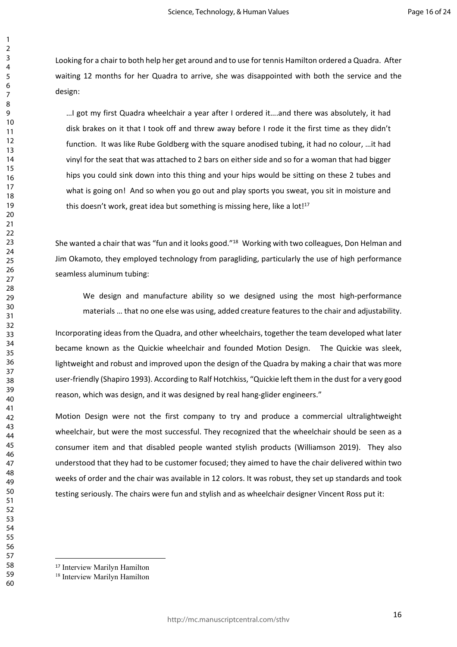Looking for a chair to both help her get around and to use for tennis Hamilton ordered a Quadra. After waiting 12 months for her Quadra to arrive, she was disappointed with both the service and the design:

…I got my first Quadra wheelchair a year after I ordered it….and there was absolutely, it had disk brakes on it that I took off and threw away before I rode it the first time as they didn't function. It was like Rube Goldberg with the square anodised tubing, it had no colour, …it had vinyl for the seat that was attached to 2 bars on either side and so for a woman that had bigger hips you could sink down into this thing and your hips would be sitting on these 2 tubes and what is going on! And so when you go out and play sports you sweat, you sit in moisture and this doesn't work, great idea but something is missing here, like a lot!<sup>17</sup>

She wanted a chair that was "fun and it looks good."<sup>18</sup> Working with two colleagues, Don Helman and Jim Okamoto, they employed technology from paragliding, particularly the use of high performance seamless aluminum tubing:

We design and manufacture ability so we designed using the most high-performance materials … that no one else was using, added creature features to the chair and adjustability.

s "fun and it looks good."<sup>18</sup> Working with two<br>ed technology from paragliding, particularly t<br>:<br>.<br>.<br>annufacture ability so we designed using t<br>one else was using, added creature features t<br>e Quadra, and other wheelchairs, Incorporating ideas from the Quadra, and other wheelchairs, together the team developed what later became known as the Quickie wheelchair and founded Motion Design. The Quickie was sleek, lightweight and robust and improved upon the design of the Quadra by making a chair that was more user-friendly (Shapiro 1993). According to Ralf Hotchkiss, "Quickie left them in the dust for a very good reason, which was design, and it was designed by real hang-glider engineers."

Motion Design were not the first company to try and produce a commercial ultralightweight wheelchair, but were the most successful. They recognized that the wheelchair should be seen as a consumer item and that disabled people wanted stylish products (Williamson 2019). They also understood that they had to be customer focused; they aimed to have the chair delivered within two weeks of order and the chair was available in 12 colors. It was robust, they set up standards and took testing seriously. The chairs were fun and stylish and as wheelchair designer Vincent Ross put it:

Interview Marilyn Hamilton

Interview Marilyn Hamilton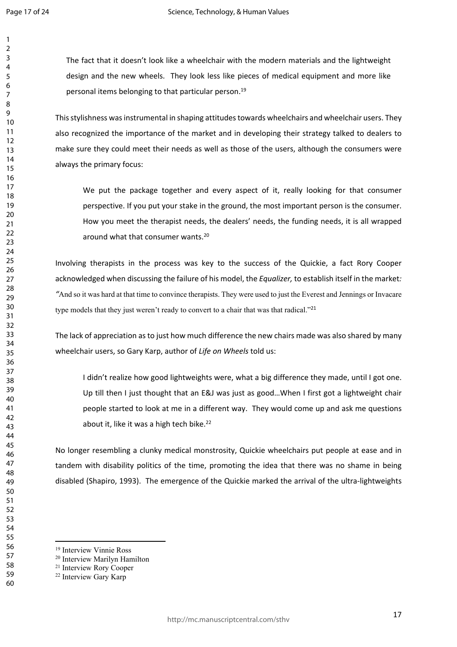$\mathbf{1}$  $\overline{2}$  $\overline{3}$  $\overline{4}$  $\overline{7}$  $\mathsf{Q}$ 

The fact that it doesn't look like a wheelchair with the modern materials and the lightweight design and the new wheels. They look less like pieces of medical equipment and more like personal items belonging to that particular person.<sup>19</sup>

This stylishness was instrumental in shaping attitudes towards wheelchairs and wheelchair users. They also recognized the importance of the market and in developing their strategy talked to dealers to make sure they could meet their needs as well as those of the users, although the consumers were always the primary focus:

We put the package together and every aspect of it, really looking for that consumer perspective. If you put your stake in the ground, the most important person is the consumer. How you meet the therapist needs, the dealers' needs, the funding needs, it is all wrapped around what that consumer wants.<sup>20</sup>

therapist needs, the dealers' needs, the fund<br>onsumer wants.<sup>20</sup><br>e process was key to the success of the C<br>sing the failure of his model, the *Equalizer*, to o<br>to convince therapists. They were used to just the H<br>en't read Involving therapists in the process was key to the success of the Quickie, a fact Rory Cooper acknowledged when discussing the failure of his model, the *Equalizer*, to establish itself in the market:<br>"And so it was hard at that time to convince therapists. They were used to just the Everest and Jennings or Invacar type models that they just weren't ready to convert to a chair that was that radical."<sup>21</sup>

The lack of appreciation as to just how much difference the new chairs made was also shared by many wheelchair users, so Gary Karp, author of *Life on Wheels* told us:

I didn't realize how good lightweights were, what a big difference they made, until I got one. Up till then I just thought that an E&J was just as good...When I first got a lightweight chair people started to look at me in a different way. They would come up and ask me questions about it, like it was a high tech bike.<sup>22</sup>

No longer resembling a clunky medical monstrosity, Quickie wheelchairs put people at ease and in tandem with disability politics of the time, promoting the idea that there was no shame in being disabled (Shapiro, 1993). The emergence of the Quickie marked the arrival of the ultra-lightweights

- Interview Vinnie Ross
- Interview Marilyn Hamilton
- Interview Rory Cooper
- Interview Gary Karp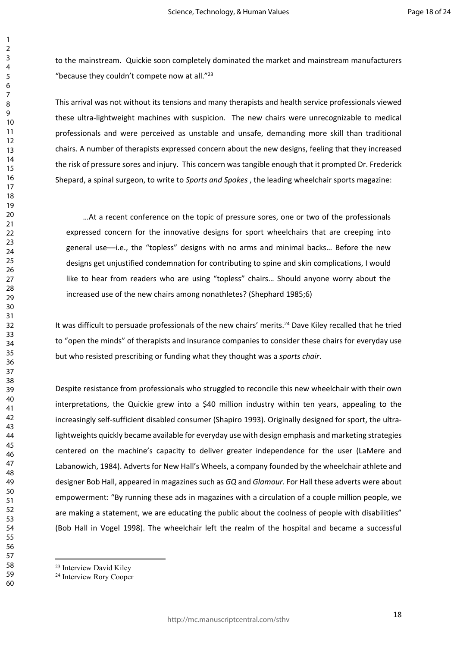to the mainstream. Quickie soon completely dominated the market and mainstream manufacturers "because they couldn't compete now at all."<sup>23</sup>

This arrival was not without its tensions and many therapists and health service professionals viewed these ultra-lightweight machines with suspicion. The new chairs were unrecognizable to medical professionals and were perceived as unstable and unsafe, demanding more skill than traditional chairs. A number of therapists expressed concern about the new designs, feeling that they increased the risk of pressure sores and injury. This concern was tangible enough that it prompted Dr. Frederick Shepard, a spinal surgeon, to write to *Sports and Spokes* , the leading wheelchair sports magazine:

rence on the topic of pressure sores, one or<br>the innovative designs for sport wheelchair<br>'topless" designs with no arms and minimal<br>condemnation for contributing to spine and sk<br>rs who are using "topless" chairs... Should<br> …At a recent conference on the topic of pressure sores, one or two of the professionals expressed concern for the innovative designs for sport wheelchairs that are creeping into general use––i.e., the "topless" designs with no arms and minimal backs… Before the new designs get unjustified condemnation for contributing to spine and skin complications, I would like to hear from readers who are using "topless" chairs… Should anyone worry about the increased use of the new chairs among nonathletes? (Shephard 1985;6)

It was difficult to persuade professionals of the new chairs' merits.<sup>24</sup> Dave Kiley recalled that he tried to "open the minds" of therapists and insurance companies to consider these chairs for everyday use but who resisted prescribing or funding what they thought was a *sports chair*.

Despite resistance from professionals who struggled to reconcile this new wheelchair with their own interpretations, the Quickie grew into a \$40 million industry within ten years, appealing to the increasingly self-sufficient disabled consumer (Shapiro 1993). Originally designed for sport, the ultralightweights quickly became available for everyday use with design emphasis and marketing strategies centered on the machine's capacity to deliver greater independence for the user (LaMere and Labanowich, 1984). Adverts for New Hall's Wheels, a company founded by the wheelchair athlete and designer Bob Hall, appeared in magazines such as *GQ* and *Glamour.* For Hall these adverts were about empowerment: "By running these ads in magazines with a circulation of a couple million people, we are making a statement, we are educating the public about the coolness of people with disabilities" (Bob Hall in Vogel 1998). The wheelchair left the realm of the hospital and became a successful

Interview David Kiley

Interview Rory Cooper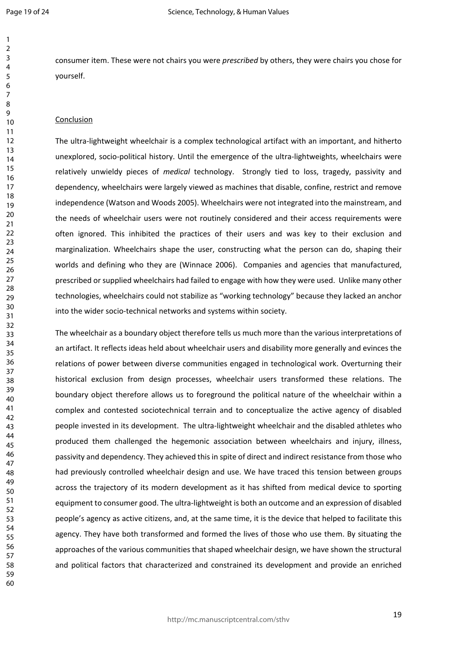$\mathbf{1}$  $\overline{2}$  $\overline{3}$  $\overline{4}$ 5 6  $\overline{7}$ 8 9

consumer item. These were not chairs you were *prescribed* by others, they were chairs you chose for yourself.

#### Conclusion

sers were not routinely considered and thei<br>ted the practices of their users and was<br>irs shape the user, constructing what the p<br>they are (Winnace 2006). Companies and a<br>elchairs had failed to engage with how they we<br>could The ultra-lightweight wheelchair is a complex technological artifact with an important, and hitherto unexplored, socio-political history. Until the emergence of the ultra-lightweights, wheelchairs were relatively unwieldy pieces of *medical* technology. Strongly tied to loss, tragedy, passivity and dependency, wheelchairs were largely viewed as machines that disable, confine, restrict and remove independence (Watson and Woods 2005). Wheelchairs were not integrated into the mainstream, and the needs of wheelchair users were not routinely considered and their access requirements were often ignored. This inhibited the practices of their users and was key to their exclusion and marginalization. Wheelchairs shape the user, constructing what the person can do, shaping their worlds and defining who they are (Winnace 2006). Companies and agencies that manufactured, prescribed or supplied wheelchairs had failed to engage with how they were used. Unlike many other technologies, wheelchairs could not stabilize as "working technology" because they lacked an anchor into the wider socio-technical networks and systems within society.

The wheelchair as a boundary object therefore tells us much more than the various interpretations of an artifact. It reflects ideas held about wheelchair users and disability more generally and evinces the relations of power between diverse communities engaged in technological work. Overturning their historical exclusion from design processes, wheelchair users transformed these relations. The boundary object therefore allows us to foreground the political nature of the wheelchair within a complex and contested sociotechnical terrain and to conceptualize the active agency of disabled people invested in its development. The ultra-lightweight wheelchair and the disabled athletes who produced them challenged the hegemonic association between wheelchairs and injury, illness, passivity and dependency. They achieved this in spite of direct and indirect resistance from those who had previously controlled wheelchair design and use. We have traced this tension between groups across the trajectory of its modern development as it has shifted from medical device to sporting equipment to consumer good. The ultra-lightweight is both an outcome and an expression of disabled people's agency as active citizens, and, at the same time, it is the device that helped to facilitate this agency. They have both transformed and formed the lives of those who use them. By situating the approaches of the various communities that shaped wheelchair design, we have shown the structural and political factors that characterized and constrained its development and provide an enriched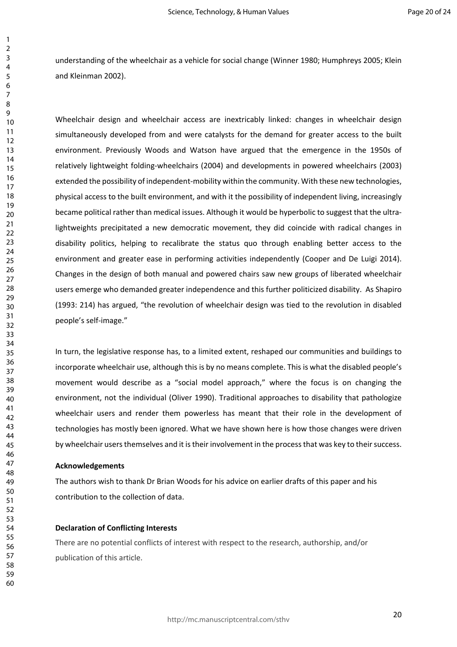understanding of the wheelchair as a vehicle for social change (Winner 1980; Humphreys 2005; Klein and Kleinman 2002).

In meadcal issues. Although it would be hyperbinated in the measurement are in performing activities independently (oth manual and powered chairs saw new greed greater independence and this further policine revolution of w Wheelchair design and wheelchair access are inextricably linked: changes in wheelchair design simultaneously developed from and were catalysts for the demand for greater access to the built environment. Previously Woods and Watson have argued that the emergence in the 1950s of relatively lightweight folding-wheelchairs (2004) and developments in powered wheelchairs (2003) extended the possibility of independent-mobility within the community. With these new technologies, physical access to the built environment, and with it the possibility of independent living, increasingly became political rather than medical issues. Although it would be hyperbolic to suggest that the ultralightweights precipitated a new democratic movement, they did coincide with radical changes in disability politics, helping to recalibrate the status quo through enabling better access to the environment and greater ease in performing activities independently (Cooper and De Luigi 2014). Changes in the design of both manual and powered chairs saw new groups of liberated wheelchair users emerge who demanded greater independence and this further politicized disability. As Shapiro (1993: 214) has argued, "the revolution of wheelchair design was tied to the revolution in disabled people's self-image."

In turn, the legislative response has, to a limited extent, reshaped our communities and buildings to incorporate wheelchair use, although this is by no means complete. This is what the disabled people's movement would describe as a "social model approach," where the focus is on changing the environment, not the individual (Oliver 1990). Traditional approaches to disability that pathologize wheelchair users and render them powerless has meant that their role in the development of technologies has mostly been ignored. What we have shown here is how those changes were driven by wheelchair users themselves and it is their involvement in the process that was key to their success.

#### **Acknowledgements**

The authors wish to thank Dr Brian Woods for his advice on earlier drafts of this paper and his contribution to the collection of data.

#### **Declaration of Conflicting Interests**

There are no potential conflicts of interest with respect to the research, authorship, and/or publication of this article.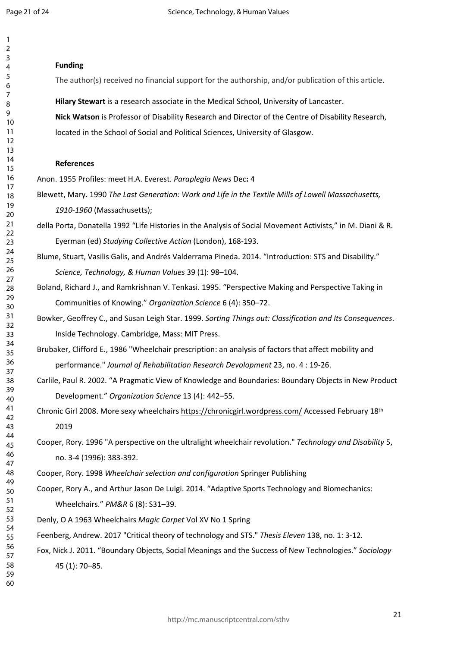$\mathbf{1}$ 

| <b>Funding</b>                                                                                              |
|-------------------------------------------------------------------------------------------------------------|
| The author(s) received no financial support for the authorship, and/or publication of this article.         |
| Hilary Stewart is a research associate in the Medical School, University of Lancaster.                      |
| Nick Watson is Professor of Disability Research and Director of the Centre of Disability Research,          |
| located in the School of Social and Political Sciences, University of Glasgow.                              |
| <b>References</b>                                                                                           |
| Anon. 1955 Profiles: meet H.A. Everest. Paraplegia News Dec: 4                                              |
| Blewett, Mary. 1990 The Last Generation: Work and Life in the Textile Mills of Lowell Massachusetts,        |
| 1910-1960 (Massachusetts);                                                                                  |
| della Porta, Donatella 1992 "Life Histories in the Analysis of Social Movement Activists," in M. Diani & R. |
| Eyerman (ed) Studying Collective Action (London), 168-193.                                                  |
| Blume, Stuart, Vasilis Galis, and Andrés Valderrama Pineda. 2014. "Introduction: STS and Disability."       |
| Science, Technology, & Human Values 39 (1): 98-104.                                                         |
| Boland, Richard J., and Ramkrishnan V. Tenkasi. 1995. "Perspective Making and Perspective Taking in         |
| Communities of Knowing." Organization Science 6 (4): 350-72.                                                |
| Bowker, Geoffrey C., and Susan Leigh Star. 1999. Sorting Things out: Classification and Its Consequences.   |
| Inside Technology. Cambridge, Mass: MIT Press.                                                              |
| Brubaker, Clifford E., 1986 "Wheelchair prescription: an analysis of factors that affect mobility and       |
| performance." Journal of Rehabilitation Research Devolopment 23, no. 4 : 19-26.                             |
| Carlile, Paul R. 2002. "A Pragmatic View of Knowledge and Boundaries: Boundary Objects in New Product       |
| Development." Organization Science 13 (4): 442-55.                                                          |
| Chronic Girl 2008. More sexy wheelchairs https://chronicgirl.wordpress.com/ Accessed February 18th          |
| 2019                                                                                                        |
| Cooper, Rory. 1996 "A perspective on the ultralight wheelchair revolution." Technology and Disability 5,    |
| no. 3-4 (1996): 383-392.                                                                                    |
| Cooper, Rory. 1998 Wheelchair selection and configuration Springer Publishing                               |
| Cooper, Rory A., and Arthur Jason De Luigi. 2014. "Adaptive Sports Technology and Biomechanics:             |
| Wheelchairs." PM&R 6 (8): S31-39.                                                                           |
| Denly, O A 1963 Wheelchairs Magic Carpet Vol XV No 1 Spring                                                 |
| Feenberg, Andrew. 2017 "Critical theory of technology and STS." Thesis Eleven 138, no. 1: 3-12.             |
| Fox, Nick J. 2011. "Boundary Objects, Social Meanings and the Success of New Technologies." Sociology       |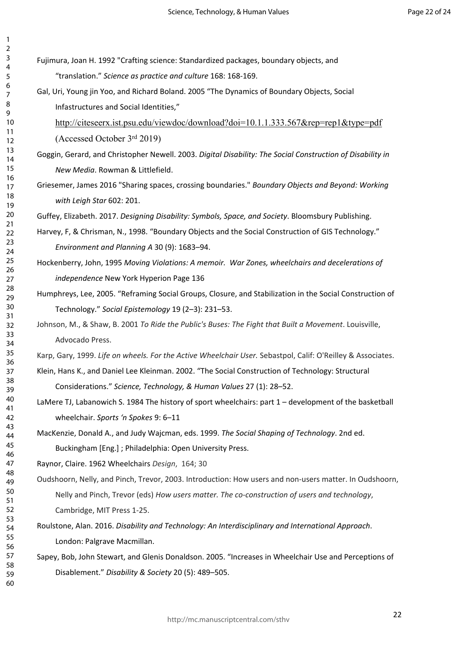| ,                       |
|-------------------------|
| 3                       |
| 4                       |
|                         |
| 5                       |
| 6                       |
| 7                       |
| 8                       |
| 9                       |
|                         |
| 10                      |
| 11                      |
| $\mathbf{1}$<br>フ       |
| $\overline{13}$         |
| $\overline{14}$         |
|                         |
| 15                      |
| 16                      |
| 17                      |
| 18                      |
|                         |
| 19                      |
| 20                      |
| $\overline{21}$         |
| $\overline{2}$<br>,     |
| $^{23}$                 |
| 24                      |
|                         |
| 25                      |
| 26                      |
| 27                      |
| 28                      |
|                         |
| 29                      |
| 30                      |
| $\overline{\textbf{3}}$ |
| ŝ.<br>,                 |
| 33                      |
|                         |
| 34                      |
| 35                      |
| 36                      |
| 37                      |
| 38                      |
|                         |
| $\frac{3}{2}$<br>J      |
| 40                      |
| 41                      |
| 42                      |
|                         |
| 43                      |
| 44                      |
| 45                      |
| 46                      |
| 47                      |
|                         |
| 48                      |
| 49                      |
| 50                      |
| 51                      |
| 52                      |
|                         |
| 5:<br>ξ                 |
| 54                      |
| 55                      |
| 56                      |
| 57                      |
|                         |
| 58                      |
| 59                      |
| 60                      |

| Fujimura, Joan H. 1992 "Crafting science: Standardized packages, boundary objects, and                      |
|-------------------------------------------------------------------------------------------------------------|
| "translation." Science as practice and culture 168: 168-169.                                                |
| Gal, Uri, Young jin Yoo, and Richard Boland. 2005 "The Dynamics of Boundary Objects, Social                 |
| Infastructures and Social Identities,"                                                                      |
| http://citeseerx.ist.psu.edu/viewdoc/download?doi=10.1.1.333.567&rep=rep1&type=pdf                          |
| (Accessed October 3rd 2019)                                                                                 |
| Goggin, Gerard, and Christopher Newell. 2003. Digital Disability: The Social Construction of Disability in  |
| New Media. Rowman & Littlefield.                                                                            |
| Griesemer, James 2016 "Sharing spaces, crossing boundaries." Boundary Objects and Beyond: Working           |
| with Leigh Star 602: 201.                                                                                   |
| Guffey, Elizabeth. 2017. Designing Disability: Symbols, Space, and Society. Bloomsbury Publishing.          |
| Harvey, F, & Chrisman, N., 1998. "Boundary Objects and the Social Construction of GIS Technology."          |
| Environment and Planning A 30 (9): 1683-94.                                                                 |
| Hockenberry, John, 1995 Moving Violations: A memoir. War Zones, wheelchairs and decelerations of            |
| independence New York Hyperion Page 136                                                                     |
| Humphreys, Lee, 2005. "Reframing Social Groups, Closure, and Stabilization in the Social Construction of    |
| Technology." Social Epistemology 19 (2-3): 231-53.                                                          |
| Johnson, M., & Shaw, B. 2001 To Ride the Public's Buses: The Fight that Built a Movement. Louisville,       |
| Advocado Press.                                                                                             |
| Karp, Gary, 1999. Life on wheels. For the Active Wheelchair User. Sebastpol, Calif: O'Reilley & Associates. |
| Klein, Hans K., and Daniel Lee Kleinman. 2002. "The Social Construction of Technology: Structural           |
| Considerations." Science, Technology, & Human Values 27 (1): 28-52.                                         |
| LaMere TJ, Labanowich S. 1984 The history of sport wheelchairs: part 1 - development of the basketball      |
| wheelchair. Sports 'n Spokes 9: 6-11                                                                        |
| MacKenzie, Donald A., and Judy Wajcman, eds. 1999. The Social Shaping of Technology. 2nd ed.                |
| Buckingham [Eng.]; Philadelphia: Open University Press.                                                     |
| Raynor, Claire. 1962 Wheelchairs Design, 164; 30                                                            |
| Oudshoorn, Nelly, and Pinch, Trevor, 2003. Introduction: How users and non-users matter. In Oudshoorn,      |
| Nelly and Pinch, Trevor (eds) How users matter. The co-construction of users and technology,                |
| Cambridge, MIT Press 1-25.                                                                                  |
| Roulstone, Alan. 2016. Disability and Technology: An Interdisciplinary and International Approach.          |
| London: Palgrave Macmillan.                                                                                 |
| Sapey, Bob, John Stewart, and Glenis Donaldson. 2005. "Increases in Wheelchair Use and Perceptions of       |
| Disablement." Disability & Society 20 (5): 489-505.                                                         |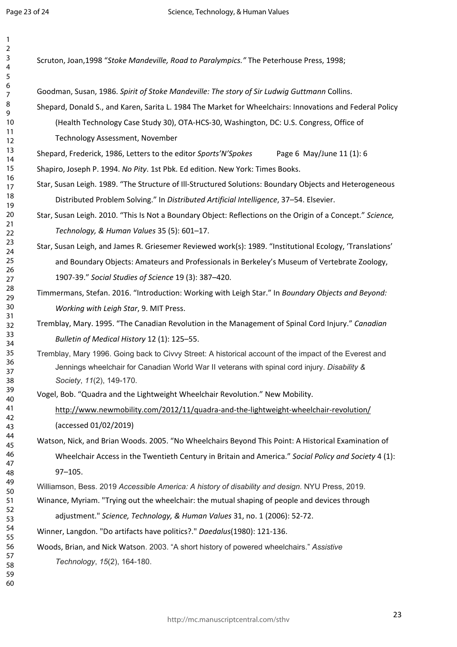$\mathbf{1}$  $\overline{2}$  $\overline{3}$  $\overline{4}$ 5 6  $\overline{7}$ 8  $\overline{9}$ 

| $\overline{A}$<br>3<br>$\overline{\mathbf{4}}$<br>5 | Scruton, Joan, 1998 "Stoke Mandeville, Road to Paralympics." The Peterhouse Press, 1998;                   |
|-----------------------------------------------------|------------------------------------------------------------------------------------------------------------|
| 6<br>$\boldsymbol{7}$                               | Goodman, Susan, 1986. Spirit of Stoke Mandeville: The story of Sir Ludwig Guttmann Collins.                |
| 8                                                   | Shepard, Donald S., and Karen, Sarita L. 1984 The Market for Wheelchairs: Innovations and Federal Policy   |
| 9<br>10                                             | (Health Technology Case Study 30), OTA-HCS-30, Washington, DC: U.S. Congress, Office of                    |
| 11<br>12                                            | Technology Assessment, November                                                                            |
| 13                                                  | Page 6 May/June 11 (1): 6<br>Shepard, Frederick, 1986, Letters to the editor Sports'N'Spokes               |
| 14<br>15                                            | Shapiro, Joseph P. 1994. No Pity. 1st Pbk. Ed edition. New York: Times Books.                              |
| 16<br>17                                            | Star, Susan Leigh. 1989. "The Structure of III-Structured Solutions: Boundary Objects and Heterogeneous    |
| 18                                                  | Distributed Problem Solving." In Distributed Artificial Intelligence, 37-54. Elsevier.                     |
| 19<br>20                                            | Star, Susan Leigh. 2010. "This Is Not a Boundary Object: Reflections on the Origin of a Concept." Science, |
| 21<br>22                                            | Technology, & Human Values 35 (5): 601-17.                                                                 |
| 23                                                  | Star, Susan Leigh, and James R. Griesemer Reviewed work(s): 1989. "Institutional Ecology, 'Translations'   |
| 24<br>25                                            | and Boundary Objects: Amateurs and Professionals in Berkeley's Museum of Vertebrate Zoology,               |
| 26<br>27                                            | 1907-39." Social Studies of Science 19 (3): 387-420.                                                       |
| 28<br>29                                            | Timmermans, Stefan. 2016. "Introduction: Working with Leigh Star." In Boundary Objects and Beyond:         |
| 30                                                  | Working with Leigh Star, 9. MIT Press.                                                                     |
| 31<br>32                                            | Tremblay, Mary. 1995. "The Canadian Revolution in the Management of Spinal Cord Injury." Canadian          |
| 33<br>34                                            | Bulletin of Medical History 12 (1): 125-55.                                                                |
| 35                                                  | Tremblay, Mary 1996. Going back to Civvy Street: A historical account of the impact of the Everest and     |
| 36<br>37                                            | Jennings wheelchair for Canadian World War II veterans with spinal cord injury. Disability &               |
| 38<br>39                                            | Society, 11(2), 149-170.                                                                                   |
| 40                                                  | Vogel, Bob. "Quadra and the Lightweight Wheelchair Revolution." New Mobility.                              |
| 41<br>42                                            | http://www.newmobility.com/2012/11/quadra-and-the-lightweight-wheelchair-revolution/                       |
| 43<br>44                                            | (accessed 01/02/2019)                                                                                      |
| 45                                                  | Watson, Nick, and Brian Woods. 2005. "No Wheelchairs Beyond This Point: A Historical Examination of        |
| 46<br>47                                            | Wheelchair Access in the Twentieth Century in Britain and America." Social Policy and Society 4 (1):       |
| 48<br>49                                            | $97 - 105.$                                                                                                |
| 50                                                  | Williamson, Bess. 2019 Accessible America: A history of disability and design. NYU Press, 2019.            |
| 51<br>52                                            | Winance, Myriam. "Trying out the wheelchair: the mutual shaping of people and devices through              |
| 53<br>54                                            | adjustment." Science, Technology, & Human Values 31, no. 1 (2006): 52-72.                                  |
| 55                                                  | Winner, Langdon. "Do artifacts have politics?." Daedalus(1980): 121-136.                                   |
| 56<br>57                                            | Woods, Brian, and Nick Watson. 2003. "A short history of powered wheelchairs." Assistive                   |
| 58<br>59                                            | Technology, 15(2), 164-180.                                                                                |
| 60                                                  |                                                                                                            |